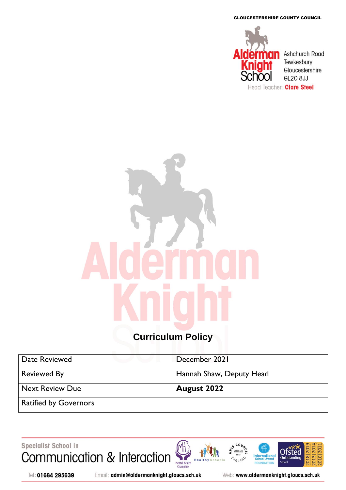GLOUCESTERSHIRE COUNTY COUNCIL



# **Curriculum Policy**

| Date Reviewed          | December 2021            |
|------------------------|--------------------------|
| <b>Reviewed By</b>     | Hannah Shaw, Deputy Head |
| <b>Next Review Due</b> | <b>August 2022</b>       |
|                        |                          |

H<sub>e</sub>

Specialist School in Communication & Interaction Mental Health<br>Champions





Tel: 01684 295639

Email: admin@aldermanknight.gloucs.sch.uk

Web: www.aldermanknight.gloucs.sch.uk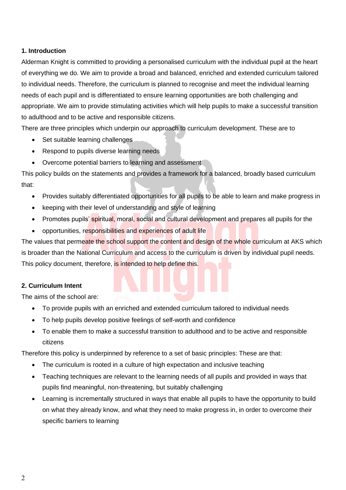# **1. Introduction**

Alderman Knight is committed to providing a personalised curriculum with the individual pupil at the heart of everything we do. We aim to provide a broad and balanced, enriched and extended curriculum tailored to individual needs. Therefore, the curriculum is planned to recognise and meet the individual learning needs of each pupil and is differentiated to ensure learning opportunities are both challenging and appropriate. We aim to provide stimulating activities which will help pupils to make a successful transition to adulthood and to be active and responsible citizens.

There are three principles which underpin our approach to curriculum development. These are to

- Set suitable learning challenges
- Respond to pupils diverse learning needs
- Overcome potential barriers to learning and assessment

This policy builds on the statements and provides a framework for a balanced, broadly based curriculum that:

- Provides suitably differentiated opportunities for all pupils to be able to learn and make progress in
- keeping with their level of understanding and style of learning
- Promotes pupils' spiritual, moral, social and cultural development and prepares all pupils for the
- opportunities, responsibilities and experiences of adult life

The values that permeate the school support the content and design of the whole curriculum at AKS which is broader than the National Curriculum and access to the curriculum is driven by individual pupil needs. This policy document, therefore, is intended to help define this.

# **2. Curriculum Intent**

The aims of the school are:

- To provide pupils with an enriched and extended curriculum tailored to individual needs
- To help pupils develop positive feelings of self-worth and confidence
- To enable them to make a successful transition to adulthood and to be active and responsible citizens

Therefore this policy is underpinned by reference to a set of basic principles: These are that:

- The curriculum is rooted in a culture of high expectation and inclusive teaching
- Teaching techniques are relevant to the learning needs of all pupils and provided in ways that pupils find meaningful, non-threatening, but suitably challenging
- Learning is incrementally structured in ways that enable all pupils to have the opportunity to build on what they already know, and what they need to make progress in, in order to overcome their specific barriers to learning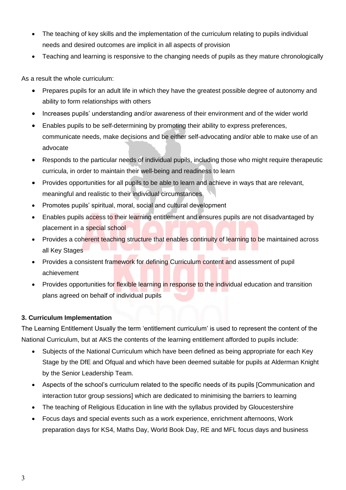- The teaching of key skills and the implementation of the curriculum relating to pupils individual needs and desired outcomes are implicit in all aspects of provision
- Teaching and learning is responsive to the changing needs of pupils as they mature chronologically

As a result the whole curriculum:

- Prepares pupils for an adult life in which they have the greatest possible degree of autonomy and ability to form relationships with others
- Increases pupils' understanding and/or awareness of their environment and of the wider world
- Enables pupils to be self-determining by promoting their ability to express preferences, communicate needs, make decisions and be either self-advocating and/or able to make use of an advocate
- Responds to the particular needs of individual pupils, including those who might require therapeutic curricula, in order to maintain their well-being and readiness to learn
- Provides opportunities for all pupils to be able to learn and achieve in ways that are relevant, meaningful and realistic to their individual circumstances
- Promotes pupils' spiritual, moral, social and cultural development
- Enables pupils access to their learning entitlement and ensures pupils are not disadvantaged by placement in a special school
- Provides a coherent teaching structure that enables continuity of learning to be maintained across all Key Stages
- Provides a consistent framework for defining Curriculum content and assessment of pupil achievement
- Provides opportunities for flexible learning in response to the individual education and transition plans agreed on behalf of individual pupils

# **3. Curriculum Implementation**

The Learning Entitlement Usually the term 'entitlement curriculum' is used to represent the content of the National Curriculum, but at AKS the contents of the learning entitlement afforded to pupils include:

- Subjects of the National Curriculum which have been defined as being appropriate for each Key Stage by the DfE and Ofqual and which have been deemed suitable for pupils at Alderman Knight by the Senior Leadership Team.
- Aspects of the school's curriculum related to the specific needs of its pupils [Communication and interaction tutor group sessions] which are dedicated to minimising the barriers to learning
- The teaching of Religious Education in line with the syllabus provided by Gloucestershire
- Focus days and special events such as a work experience, enrichment afternoons, Work preparation days for KS4, Maths Day, World Book Day, RE and MFL focus days and business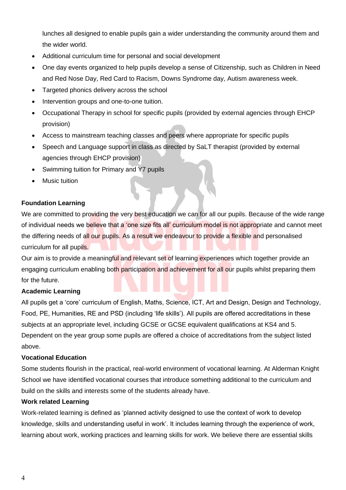lunches all designed to enable pupils gain a wider understanding the community around them and the wider world.

- Additional curriculum time for personal and social development
- One day events organized to help pupils develop a sense of Citizenship, such as Children in Need and Red Nose Day, Red Card to Racism, Downs Syndrome day, Autism awareness week.
- Targeted phonics delivery across the school
- Intervention groups and one-to-one tuition.
- Occupational Therapy in school for specific pupils (provided by external agencies through EHCP provision)
- Access to mainstream teaching classes and peers where appropriate for specific pupils
- Speech and Language support in class as directed by SaLT therapist (provided by external agencies through EHCP provision)
- Swimming tuition for Primary and Y7 pupils
- **Music tuition**

# **Foundation Learning**

We are committed to providing the very best education we can for all our pupils. Because of the wide range of individual needs we believe that a 'one size fits all' curriculum model is not appropriate and cannot meet the differing needs of all our pupils. As a result we endeavour to provide a flexible and personalised curriculum for all pupils.

Our aim is to provide a meaningful and relevant set of learning experiences which together provide an engaging curriculum enabling both participation and achievement for all our pupils whilst preparing them for the future.

# **Academic Learning**

All pupils get a 'core' curriculum of English, Maths, Science, ICT, Art and Design, Design and Technology, Food, PE, Humanities, RE and PSD (including 'life skills'). All pupils are offered accreditations in these subjects at an appropriate level, including GCSE or GCSE equivalent qualifications at KS4 and 5. Dependent on the year group some pupils are offered a choice of accreditations from the subject listed above.

#### **Vocational Education**

Some students flourish in the practical, real-world environment of vocational learning. At Alderman Knight School we have identified vocational courses that introduce something additional to the curriculum and build on the skills and interests some of the students already have.

#### **Work related Learning**

Work-related learning is defined as 'planned activity designed to use the context of work to develop knowledge, skills and understanding useful in work'. It includes learning through the experience of work, learning about work, working practices and learning skills for work. We believe there are essential skills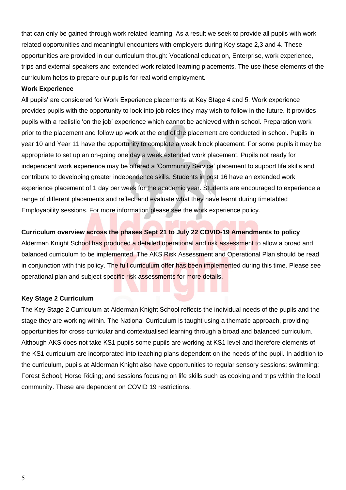that can only be gained through work related learning. As a result we seek to provide all pupils with work related opportunities and meaningful encounters with employers during Key stage 2,3 and 4. These opportunities are provided in our curriculum though: Vocational education, Enterprise, work experience, trips and external speakers and extended work related learning placements. The use these elements of the curriculum helps to prepare our pupils for real world employment.

#### **Work Experience**

All pupils' are considered for Work Experience placements at Key Stage 4 and 5. Work experience provides pupils with the opportunity to look into job roles they may wish to follow in the future. It provides pupils with a realistic 'on the job' experience which cannot be achieved within school. Preparation work prior to the placement and follow up work at the end of the placement are conducted in school. Pupils in year 10 and Year 11 have the opportunity to complete a week block placement. For some pupils it may be appropriate to set up an on-going one day a week extended work placement. Pupils not ready for independent work experience may be offered a 'Community Service' placement to support life skills and contribute to developing greater independence skills. Students in post 16 have an extended work experience placement of 1 day per week for the academic year. Students are encouraged to experience a range of different placements and reflect and evaluate what they have learnt during timetabled Employability sessions. For more information please see the work experience policy.

## **Curriculum overview across the phases Sept 21 to July 22 COVID-19 Amendments to policy**

Alderman Knight School has produced a detailed operational and risk assessment to allow a broad and balanced curriculum to be implemented. The AKS Risk Assessment and Operational Plan should be read in conjunction with this policy. The full curriculum offer has been implemented during this time. Please see operational plan and subject specific risk assessments for more details.

#### **Key Stage 2 Curriculum**

The Key Stage 2 Curriculum at Alderman Knight School reflects the individual needs of the pupils and the stage they are working within. The National Curriculum is taught using a thematic approach, providing opportunities for cross-curricular and contextualised learning through a broad and balanced curriculum. Although AKS does not take KS1 pupils some pupils are working at KS1 level and therefore elements of the KS1 curriculum are incorporated into teaching plans dependent on the needs of the pupil. In addition to the curriculum, pupils at Alderman Knight also have opportunities to regular sensory sessions; swimming; Forest School; Horse Riding; and sessions focusing on life skills such as cooking and trips within the local community. These are dependent on COVID 19 restrictions.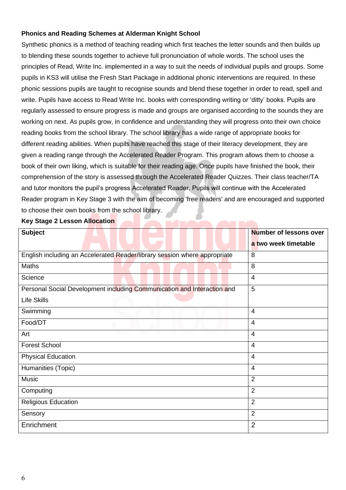# **Phonics and Reading Schemes at Alderman Knight School**

Synthetic phonics is a method of teaching reading which first teaches the letter sounds and then builds up to blending these sounds together to achieve full pronunciation of whole words. The school uses the principles of Read, Write Inc. implemented in a way to suit the needs of individual pupils and groups. Some pupils in KS3 will utilise the Fresh Start Package in additional phonic interventions are required. In these phonic sessions pupils are taught to recognise sounds and blend these together in order to read, spell and write. Pupils have access to Read Write Inc. books with corresponding writing or 'ditty' books. Pupils are regularly assessed to ensure progress is made and groups are organised according to the sounds they are working on next. As pupils grow, in confidence and understanding they will progress onto their own choice reading books from the school library. The school library has a wide range of appropriate books for different reading abilities. When pupils have reached this stage of their literacy development, they are given a reading range through the Accelerated Reader Program. This program allows them to choose a book of their own liking, which is suitable for their reading age. Once pupils have finished the book, their comprehension of the story is assessed through the Accelerated Reader Quizzes. Their class teacher/TA and tutor monitors the pupil's progress Accelerated Reader. Pupils will continue with the Accelerated Reader program in Key Stage 3 with the aim of becoming 'free readers' and are encouraged and supported to choose their own books from the school library.

#### **Key Stage 2 Lesson Allocation**

| <b>Subject</b>                                                            | <b>Number of lessons over</b> |
|---------------------------------------------------------------------------|-------------------------------|
|                                                                           | a two week timetable          |
| English including an Accelerated Reader/library session where appropriate | 8                             |
| <b>Maths</b>                                                              | 8                             |
| Science                                                                   | $\overline{4}$                |
| Personal Social Development including Communication and Interaction and   | 5                             |
| <b>Life Skills</b>                                                        |                               |
| Swimming                                                                  | $\overline{4}$                |
| Food/DT                                                                   | $\overline{4}$                |
| Art                                                                       | $\overline{4}$                |
| <b>Forest School</b>                                                      | $\overline{4}$                |
| <b>Physical Education</b>                                                 | $\overline{4}$                |
| Humanities (Topic)                                                        | $\overline{4}$                |
| Music                                                                     | $\overline{2}$                |
| Computing                                                                 | $\overline{2}$                |
| <b>Religious Education</b>                                                | $\overline{2}$                |
| Sensory                                                                   | $\overline{2}$                |
| Enrichment                                                                | $\overline{2}$                |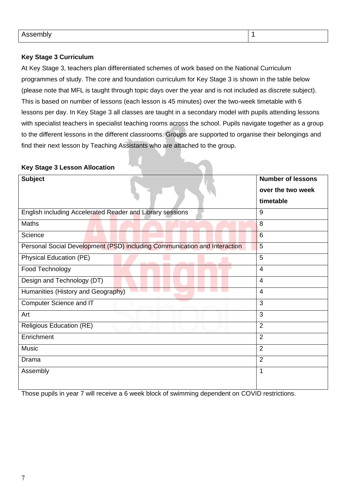# **Key Stage 3 Curriculum**

At Key Stage 3, teachers plan differentiated schemes of work based on the National Curriculum programmes of study. The core and foundation curriculum for Key Stage 3 is shown in the table below (please note that MFL is taught through topic days over the year and is not included as discrete subject). This is based on number of lessons (each lesson is 45 minutes) over the two-week timetable with 6 lessons per day. In Key Stage 3 all classes are taught in a secondary model with pupils attending lessons with specialist teachers in specialist teaching rooms across the school. Pupils navigate together as a group to the different lessons in the different classrooms. Groups are supported to organise their belongings and find their next lesson by Teaching Assistants who are attached to the group.

# **Key Stage 3 Lesson Allocation**

| <b>Subject</b>                                                            | <b>Number of lessons</b> |
|---------------------------------------------------------------------------|--------------------------|
|                                                                           | over the two week        |
|                                                                           | timetable                |
| English including Accelerated Reader and Library sessions                 | 9                        |
| <b>Maths</b>                                                              | 8                        |
| Science                                                                   | 6                        |
| Personal Social Development (PSD) including Communication and Interaction | 5                        |
| Physical Education (PE)                                                   | 5                        |
| Food Technology                                                           | $\overline{4}$           |
| Design and Technology (DT)                                                | $\overline{4}$           |
| Humanities (History and Geography)                                        | $\overline{4}$           |
| Computer Science and IT                                                   | 3                        |
| Art                                                                       | 3                        |
| <b>Religious Education (RE)</b>                                           | $\overline{2}$           |
| Enrichment                                                                | $\overline{2}$           |
| Music                                                                     | $\overline{2}$           |
| Drama                                                                     | $\overline{2}$           |
| Assembly                                                                  | $\mathbf 1$              |
|                                                                           |                          |

Those pupils in year 7 will receive a 6 week block of swimming dependent on COVID restrictions.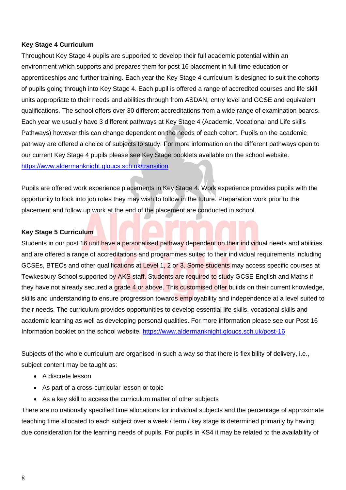### **Key Stage 4 Curriculum**

Throughout Key Stage 4 pupils are supported to develop their full academic potential within an environment which supports and prepares them for post 16 placement in full-time education or apprenticeships and further training. Each year the Key Stage 4 curriculum is designed to suit the cohorts of pupils going through into Key Stage 4. Each pupil is offered a range of accredited courses and life skill units appropriate to their needs and abilities through from ASDAN, entry level and GCSE and equivalent qualifications. The school offers over 30 different accreditations from a wide range of examination boards. Each year we usually have 3 different pathways at Key Stage 4 (Academic, Vocational and Life skills Pathways) however this can change dependent on the needs of each cohort. Pupils on the academic pathway are offered a choice of subjects to study. For more information on the different pathways open to our current Key Stage 4 pupils please see Key Stage booklets available on the school website. <https://www.aldermanknight.gloucs.sch.uk/transition>

Pupils are offered work experience placements in Key Stage 4. Work experience provides pupils with the opportunity to look into job roles they may wish to follow in the future. Preparation work prior to the placement and follow up work at the end of the placement are conducted in school.

#### **Key Stage 5 Curriculum**

Students in our post 16 unit have a personalised pathway dependent on their individual needs and abilities and are offered a range of accreditations and programmes suited to their individual requirements including GCSEs, BTECs and other qualifications at Level 1, 2 or 3. Some students may access specific courses at Tewkesbury School supported by AKS staff. Students are required to study GCSE English and Maths if they have not already secured a grade 4 or above. This customised offer builds on their current knowledge, skills and understanding to ensure progression towards employability and independence at a level suited to their needs. The curriculum provides opportunities to develop essential life skills, vocational skills and academic learning as well as developing personal qualities. For more information please see our Post 16 Information booklet on the school website.<https://www.aldermanknight.gloucs.sch.uk/post-16>

Subjects of the whole curriculum are organised in such a way so that there is flexibility of delivery, i.e., subject content may be taught as:

- A discrete lesson
- As part of a cross-curricular lesson or topic
- As a key skill to access the curriculum matter of other subjects

There are no nationally specified time allocations for individual subjects and the percentage of approximate teaching time allocated to each subject over a week / term / key stage is determined primarily by having due consideration for the learning needs of pupils. For pupils in KS4 it may be related to the availability of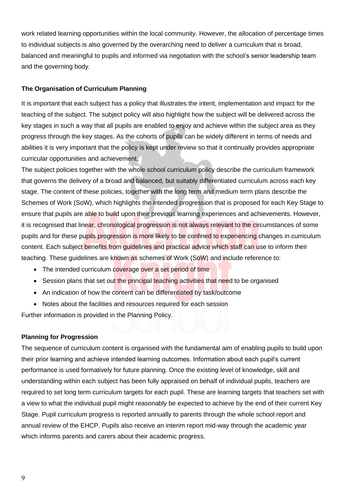work related learning opportunities within the local community. However, the allocation of percentage times to individual subjects is also governed by the overarching need to deliver a curriculum that is broad, balanced and meaningful to pupils and informed via negotiation with the school's senior leadership team and the governing body.

### **The Organisation of Curriculum Planning**

It is important that each subject has a policy that illustrates the intent, implementation and impact for the teaching of the subject. The subject policy will also highlight how the subject will be delivered across the key stages in such a way that all pupils are enabled to enjoy and achieve within the subject area as they progress through the key stages. As the cohorts of pupils can be widely different in terms of needs and abilities it is very important that the policy is kept under review so that it continually provides appropriate curricular opportunities and achievement.

The subject policies together with the whole school curriculum policy describe the curriculum framework that governs the delivery of a broad and balanced, but suitably differentiated curriculum across each key stage. The content of these policies, together with the long term and medium term plans describe the Schemes of Work (SoW), which highlights the intended progression that is proposed for each Key Stage to ensure that pupils are able to build upon their previous learning experiences and achievements. However, it is recognised that linear, chronological progression is not always relevant to the circumstances of some pupils and for these pupils progression is more likely to be confined to experiencing changes in curriculum content. Each subject benefits from guidelines and practical advice which staff can use to inform their teaching. These guidelines are known as schemes of Work (SoW) and include reference to:

- The intended curriculum coverage over a set period of time
- Session plans that set out the principal teaching activities that need to be organised
- An indication of how the content can be differentiated by task/outcome
- Notes about the facilities and resources required for each session

Further information is provided in the Planning Policy.

#### **Planning for Progression**

The sequence of curriculum content is organised with the fundamental aim of enabling pupils to build upon their prior learning and achieve intended learning outcomes. Information about each pupil's current performance is used formatively for future planning. Once the existing level of knowledge, skill and understanding within each subject has been fully appraised on behalf of individual pupils, teachers are required to set long term curriculum targets for each pupil. These are learning targets that teachers set with a view to what the individual pupil might reasonably be expected to achieve by the end of their current Key Stage. Pupil curriculum progress is reported annually to parents through the whole school report and annual review of the EHCP. Pupils also receive an interim report mid-way through the academic year which informs parents and carers about their academic progress.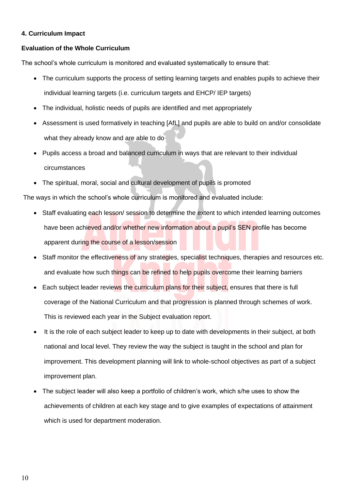### **4. Curriculum Impact**

### **Evaluation of the Whole Curriculum**

The school's whole curriculum is monitored and evaluated systematically to ensure that:

- The curriculum supports the process of setting learning targets and enables pupils to achieve their individual learning targets (i.e. curriculum targets and EHCP/ IEP targets)
- The individual, holistic needs of pupils are identified and met appropriately
- Assessment is used formatively in teaching [AfL] and pupils are able to build on and/or consolidate what they already know and are able to do
- Pupils access a broad and balanced curriculum in ways that are relevant to their individual circumstances
- The spiritual, moral, social and cultural development of pupils is promoted

The ways in which the school's whole curriculum is monitored and evaluated include:

- Staff evaluating each lesson/ session to determine the extent to which intended learning outcomes have been achieved and/or whether new information about a pupil's SEN profile has become apparent during the course of a lesson/session
- Staff monitor the effectiveness of any strategies, specialist techniques, therapies and resources etc. and evaluate how such things can be refined to help pupils overcome their learning barriers
- Each subject leader reviews the curriculum plans for their subject, ensures that there is full coverage of the National Curriculum and that progression is planned through schemes of work. This is reviewed each year in the Subject evaluation report.
- It is the role of each subject leader to keep up to date with developments in their subject, at both national and local level. They review the way the subject is taught in the school and plan for improvement. This development planning will link to whole-school objectives as part of a subject improvement plan.
- The subject leader will also keep a portfolio of children's work, which s/he uses to show the achievements of children at each key stage and to give examples of expectations of attainment which is used for department moderation.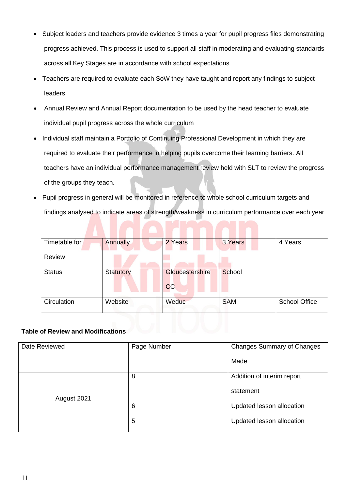- Subject leaders and teachers provide evidence 3 times a year for pupil progress files demonstrating progress achieved. This process is used to support all staff in moderating and evaluating standards across all Key Stages are in accordance with school expectations
- Teachers are required to evaluate each SoW they have taught and report any findings to subject leaders
- Annual Review and Annual Report documentation to be used by the head teacher to evaluate individual pupil progress across the whole curriculum
- Individual staff maintain a Portfolio of Continuing Professional Development in which they are required to evaluate their performance in helping pupils overcome their learning barriers. All teachers have an individual performance management review held with SLT to review the progress of the groups they teach.
- Pupil progress in general will be monitored in reference to whole school curriculum targets and findings analysed to indicate areas of strength/weakness in curriculum performance over each year

| Timetable for | <b>Annually</b>  | 2 Years         | 3 Years    | 4 Years              |
|---------------|------------------|-----------------|------------|----------------------|
|               |                  |                 |            |                      |
|               |                  |                 |            |                      |
| <b>Review</b> |                  |                 |            |                      |
|               |                  |                 |            |                      |
| <b>Status</b> | <b>Statutory</b> | Gloucestershire | School     |                      |
|               |                  |                 |            |                      |
|               |                  |                 |            |                      |
|               |                  | cc              |            |                      |
|               |                  |                 |            |                      |
| Circulation   | Website          | Weduc           | <b>SAM</b> | <b>School Office</b> |
|               |                  |                 |            |                      |
|               |                  |                 |            |                      |

# **Table of Review and Modifications**

| Date Reviewed | Page Number | <b>Changes Summary of Changes</b> |
|---------------|-------------|-----------------------------------|
|               |             | Made                              |
|               | 8           | Addition of interim report        |
| August 2021   |             | statement                         |
|               | 6           | Updated lesson allocation         |
|               | 5           | Updated lesson allocation         |